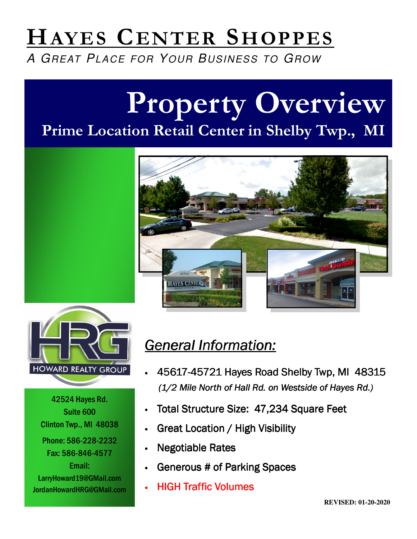# HAYES CENTER SHOPPES

A GREAT PLACE FOR YOUR BUSINESS TO GROW

# Property Overview Prime Location Retail Center in Shelby Twp., MI





42524 Hayes Rd. Suite 600 Clinton Twp., MI 48038 Phone: 586-228-2232 Fax: 586-846-4577 Email: LarryHoward19@GMail.com JordanHowardHRG@GMail.com

#### General Information:

- 45617-45721 Hayes Road Shelby Twp, MI 48315 45721 Hayes Road Shelby Twp, MI 4831545721 Hayes Road Shelby 48315 (1/2 Mile North of Hall Rd. on Westside of Hayes Rd.)
- Total Structure Size: 47,234 Square Feet
- **Great Location / High Visibility**
- **Negotiable Rates**
- Generous # of Parking Spaces
- **HIGH Traffic Volumes**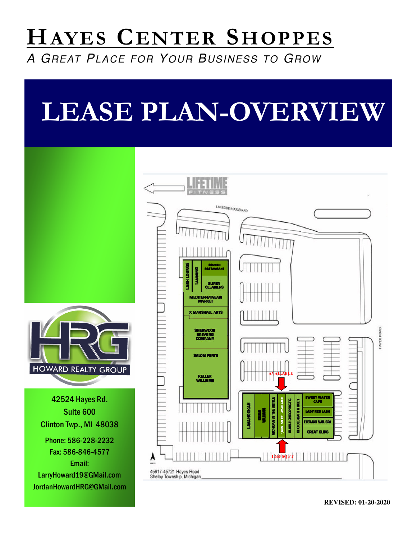### HAYES CENTER SHOPPES

A GREAT PLACE FOR YOUR BUSINESS TO GROW

# LEASE PLAN-OVERVIEW

LAKESIDE BOULEVARD BRUNCH Restaurant Restaurantš **SUPE**<br>CLEANE **MEDITERRAINEAN**<br>MARKET X MARSHALL ARTS HERWOOD **BREWING**<br>COMPANY **SALON FORTE HOWARD REALTY GROUP** KELLER<br>WILLIAMS **AVAILABLE**  42524 Hayes Rd. SWEET WATER 1,665SQFTAVAILABLE ğ CAFE **LAVA HOOKAH** Suite 600 WILLIAMS AL DY THE LADYREDLASH KELLER SQ<sub>FT</sub> ğ ELEGANT NAIL SP Clinton Twp., MI 48038 tes. **GREAT CLIPS** Phone: 586-228-2232 Fax: 586-846-4577 **1,665 SQ FT 1 1 1 1 1 1 1 1 1** Email: 45617-45721 Hayes Road<br>Shelby Township, Michigan LarryHoward19@GMail.com JordanHowardHRG@GMail.com

HAVES ROAD